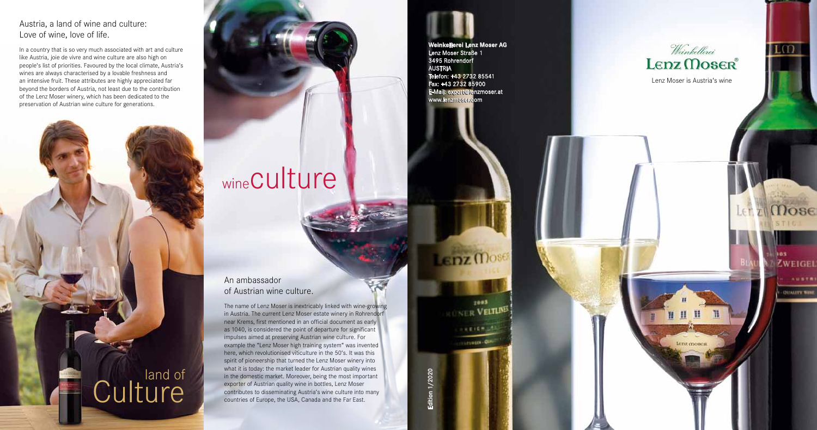### Lenz Moser is Austria's wine

Lenz mose

103 **ZWEIGEL BUALTY WIN** 

Let zi Mose

II O

### An ambassador of Austrian wine culture.

The name of Lenz Moser is inextricably linked with wine-growing in Austria. The current Lenz Moser estate winery in Rohrendorf near Krems, first mentioned in an official document as early as 1040, is considered the point of departure for significant impulses aimed at preserving Austrian wine culture. For example the "Lenz Moser high training system" was invented here, which revolutionised viticulture in the 50's. It was this spirit of pioneership that turned the Lenz Moser winery into what it is today: the market leader for Austrian quality wines in the domestic market. Moreover, being the most important exporter of Austrian quality wine in bottles, Lenz Moser contributes to disseminating Austria's wine culture into many countries of Europe, the USA, Canada and the Far East.

### Austria, a land of wine and culture: Love of wine, love of life.

In a country that is so very much associated with art and culture like Austria, joie de vivre and wine culture are also high on people's list of priorities. Favoured by the local climate, Austria's wines are always characterised by a lovable freshness and an intensive fruit. These attributes are highly appreciated far beyond the borders of Austria, not least due to the contribution of the Lenz Moser winery, which has been dedicated to the preservation of Austrian wine culture for generations.



## wineCulture

**Weinkellerei Lenz Moser AG Weinkellerei Lenz Moser AG** Lenz Moser Straße 1 Lenz Moser Straße 1 3495 Rohrendorf 3495 Rohrendorf AUSTRIA AUSTRIA Telefon: +43 2732 85541 Telefon: +43 2732 85541 Fax: +43 2732 85900 Fax: +43 2732 85900 E-Mail: export@lenzmoser.at E-Mail: export@lenzmoser.at www.lenzmoser.com www.lenzmoser.com

Lenz Mose

 $7003$ **NER VELTINES** 

> $188168 - 5$ **CLINDER - OFF**